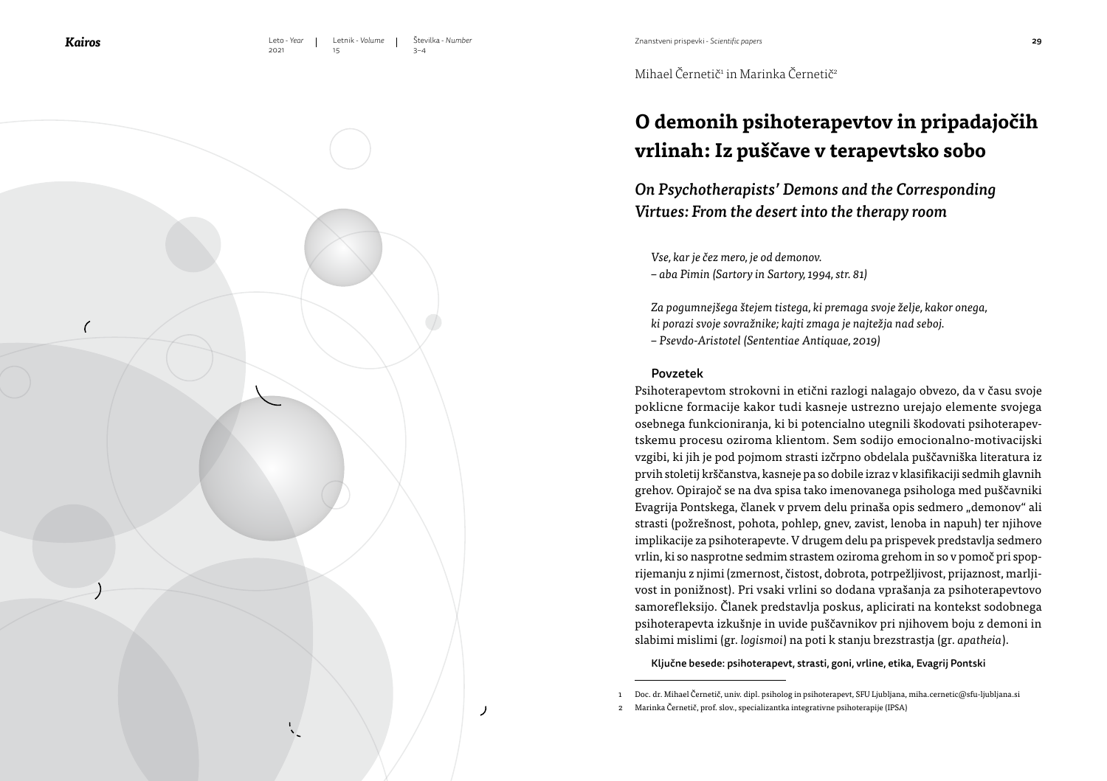15

Znanstveni prispevki - *Scientific papers*

Mihael Cernetič<sup>1</sup> in Marinka Cernetič<sup>2</sup>

# **O demonih psihoterapevtov in pripadajočih vrlinah: Iz puščave v terapevtsko sobo**

*On Psychotherapists' Demons and the Corresponding Virtues: From the desert into the therapy room*

*Vse, kar je čez mero, je od demonov.*

*– aba Pimin (Sartory in Sartory, 1994, str. 81)*

*Za pogumnejšega štejem tistega, ki premaga svoje želje, kakor onega, ki porazi svoje sovražnike; kajti zmaga je najtežja nad seboj. – Psevdo-Aristotel (Sententiae Antiquae, 2019)*

#### Povzetek

Psihoterapevtom strokovni in etični razlogi nalagajo obvezo, da v času svoje poklicne formacije kakor tudi kasneje ustrezno urejajo elemente svojega osebnega funkcioniranja, ki bi potencialno utegnili škodovati psihoterapevtskemu procesu oziroma klientom. Sem sodijo emocionalno-motivacijski vzgibi, ki jih je pod pojmom strasti izčrpno obdelala puščavniška literatura iz prvih stoletij krščanstva, kasneje pa so dobile izraz v klasifikaciji sedmih glavnih grehov. Opirajoč se na dva spisa tako imenovanega psihologa med puščavniki Evagrija Pontskega, članek v prvem delu prinaša opis sedmero "demonov" ali strasti (požrešnost, pohota, pohlep, gnev, zavist, lenoba in napuh) ter njihove implikacije za psihoterapevte. V drugem delu pa prispevek predstavlja sedmero vrlin, ki so nasprotne sedmim strastem oziroma grehom in so v pomoč pri spoprijemanju z njimi (zmernost, čistost, dobrota, potrpežljivost, prijaznost, marljivost in ponižnost). Pri vsaki vrlini so dodana vprašanja za psihoterapevtovo samorefleksijo. Članek predstavlja poskus, aplicirati na kontekst sodobnega psihoterapevta izkušnje in uvide puščavnikov pri njihovem boju z demoni in slabimi mislimi (gr. *logismoi*) na poti k stanju brezstrastja (gr. *apatheia*).

Ključne besede: psihoterapevt, strasti, goni, vrline, etika, Evagrij Pontski



<sup>1</sup> Doc. dr. Mihael Černetič, univ. dipl. psiholog in psihoterapevt, SFU Ljubljana, miha.cernetic@sfu-ljubljana.si

<sup>2</sup> Marinka Černetič, prof. slov., specializantka integrativne psihoterapije (IPSA)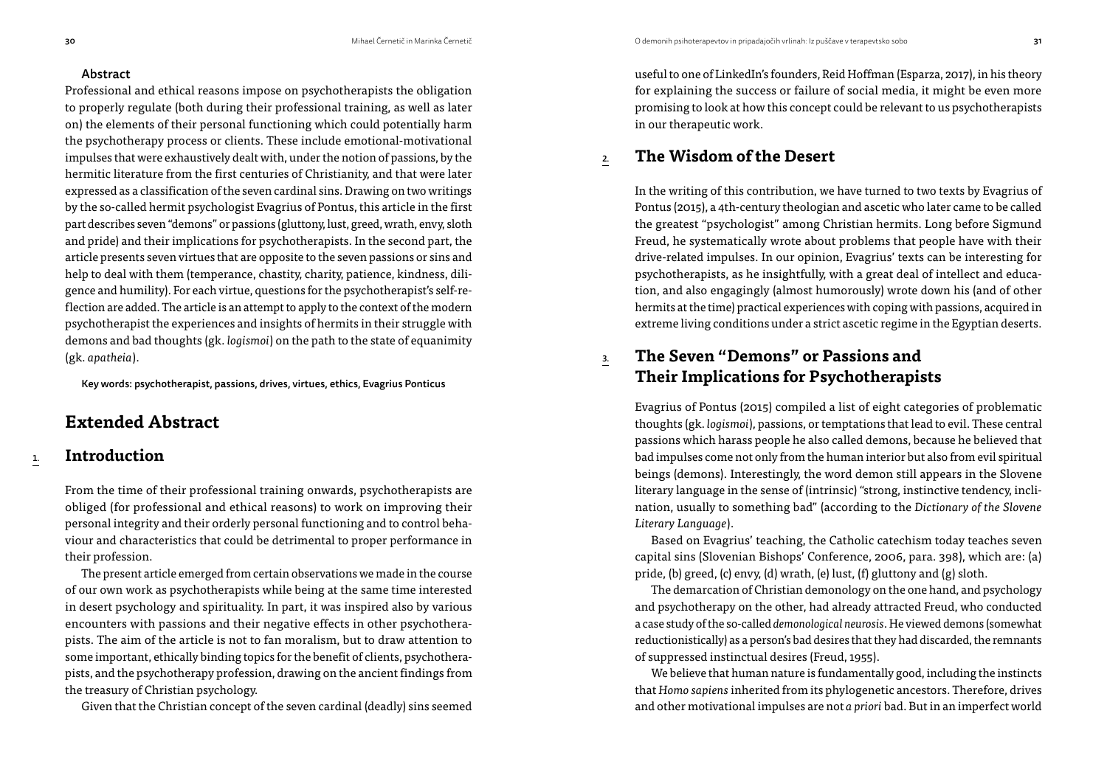#### Abstract

Professional and ethical reasons impose on psychotherapists the obligation to properly regulate (both during their professional training, as well as later on) the elements of their personal functioning which could potentially harm the psychotherapy process or clients. These include emotional-motivational impulses that were exhaustively dealt with, under the notion of passions, by the hermitic literature from the first centuries of Christianity, and that were later expressed as a classification of the seven cardinal sins. Drawing on two writings by the so-called hermit psychologist Evagrius of Pontus, this article in the first part describes seven "demons" or passions (gluttony, lust, greed, wrath, envy, sloth and pride) and their implications for psychotherapists. In the second part, the article presents seven virtues that are opposite to the seven passions or sins and help to deal with them (temperance, chastity, charity, patience, kindness, diligence and humility). For each virtue, questions for the psychotherapist's self-reflection are added. The article is an attempt to apply to the context of the modern psychotherapist the experiences and insights of hermits in their struggle with demons and bad thoughts (gk. *logismoi*) on the path to the state of equanimity (gk. *apatheia*).

Key words: psychotherapist, passions, drives, virtues, ethics, Evagrius Ponticus

# **Extended Abstract**

# 1. **Introduction**

From the time of their professional training onwards, psychotherapists are obliged (for professional and ethical reasons) to work on improving their personal integrity and their orderly personal functioning and to control behaviour and characteristics that could be detrimental to proper performance in their profession.

The present article emerged from certain observations we made in the course of our own work as psychotherapists while being at the same time interested in desert psychology and spirituality. In part, it was inspired also by various encounters with passions and their negative effects in other psychotherapists. The aim of the article is not to fan moralism, but to draw attention to some important, ethically binding topics for the benefit of clients, psychotherapists, and the psychotherapy profession, drawing on the ancient findings from the treasury of Christian psychology.

Given that the Christian concept of the seven cardinal (deadly) sins seemed

useful to one of LinkedIn's founders, Reid Hoffman (Esparza, 2017), in his theory for explaining the success or failure of social media, it might be even more promising to look at how this concept could be relevant to us psychotherapists in our therapeutic work.

# 2. **The Wisdom of the Desert**

In the writing of this contribution, we have turned to two texts by Evagrius of Pontus (2015), a 4th-century theologian and ascetic who later came to be called the greatest "psychologist" among Christian hermits. Long before Sigmund Freud, he systematically wrote about problems that people have with their drive-related impulses. In our opinion, Evagrius' texts can be interesting for psychotherapists, as he insightfully, with a great deal of intellect and education, and also engagingly (almost humorously) wrote down his (and of other hermits at the time) practical experiences with coping with passions, acquired in extreme living conditions under a strict ascetic regime in the Egyptian deserts.

3. **The Seven "Demons" or Passions and Their Implications for Psychotherapists**

Evagrius of Pontus (2015) compiled a list of eight categories of problematic thoughts (gk. *logismoi*), passions, or temptations that lead to evil. These central passions which harass people he also called demons, because he believed that bad impulses come not only from the human interior but also from evil spiritual beings (demons). Interestingly, the word demon still appears in the Slovene literary language in the sense of (intrinsic) "strong, instinctive tendency, inclination, usually to something bad" (according to the *Dictionary of the Slovene Literary Language*).

Based on Evagrius' teaching, the Catholic catechism today teaches seven capital sins (Slovenian Bishops' Conference, 2006, para. 398), which are: (a) pride, (b) greed, (c) envy, (d) wrath, (e) lust, (f) gluttony and (g) sloth.

The demarcation of Christian demonology on the one hand, and psychology and psychotherapy on the other, had already attracted Freud, who conducted a case study of the so-called *demonological neurosis*. He viewed demons (somewhat reductionistically) as a person's bad desires that they had discarded, the remnants of suppressed instinctual desires (Freud, 1955).

We believe that human nature is fundamentally good, including the instincts that *Homo sapiens* inherited from its phylogenetic ancestors. Therefore, drives and other motivational impulses are not *a priori* bad. But in an imperfect world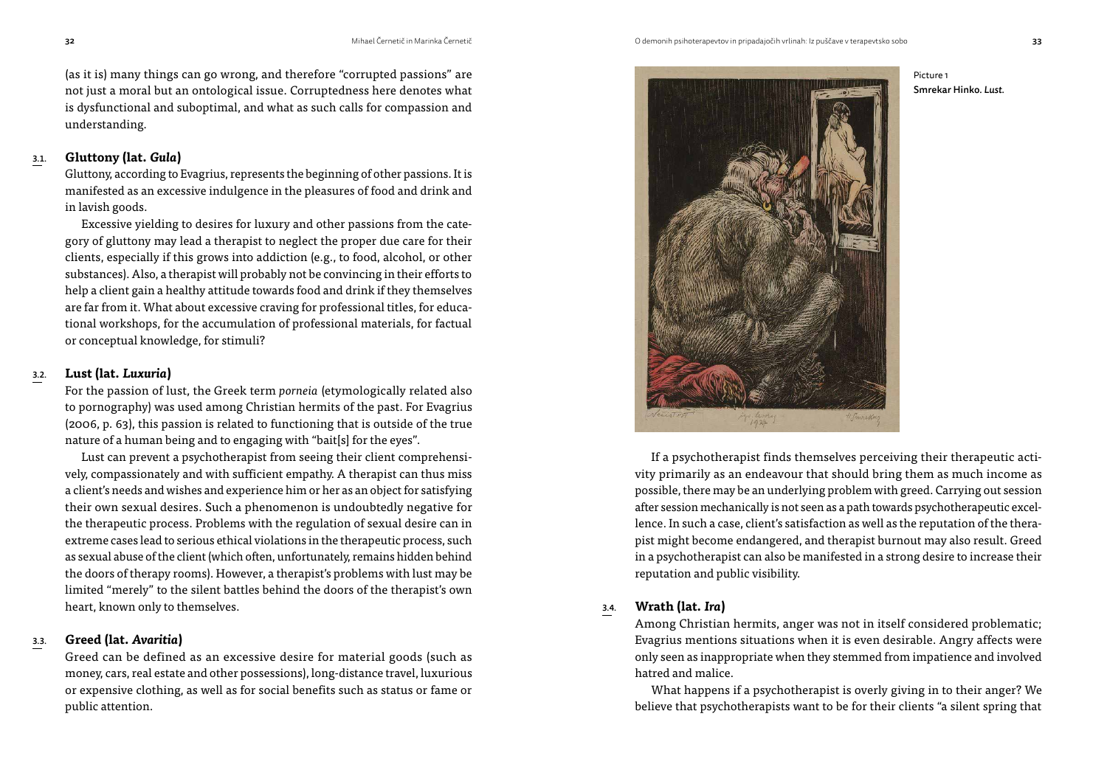(as it is) many things can go wrong, and therefore "corrupted passions" are not just a moral but an ontological issue. Corruptedness here denotes what is dysfunctional and suboptimal, and what as such calls for compassion and understanding.

### 3.1. **Gluttony (lat.** *Gula***)**

Gluttony, according to Evagrius, represents the beginning of other passions. It is manifested as an excessive indulgence in the pleasures of food and drink and in lavish goods.

Excessive yielding to desires for luxury and other passions from the category of gluttony may lead a therapist to neglect the proper due care for their clients, especially if this grows into addiction (e.g., to food, alcohol, or other substances). Also, a therapist will probably not be convincing in their efforts to help a client gain a healthy attitude towards food and drink if they themselves are far from it. What about excessive craving for professional titles, for educational workshops, for the accumulation of professional materials, for factual or conceptual knowledge, for stimuli?

## 3.2. **Lust (lat.** *Luxuria***)**

For the passion of lust, the Greek term *porneia* (etymologically related also to pornography) was used among Christian hermits of the past. For Evagrius (2006, p. 63), this passion is related to functioning that is outside of the true nature of a human being and to engaging with "bait[s] for the eyes".

Lust can prevent a psychotherapist from seeing their client comprehensively, compassionately and with sufficient empathy. A therapist can thus miss a client's needs and wishes and experience him or her as an object for satisfying their own sexual desires. Such a phenomenon is undoubtedly negative for the therapeutic process. Problems with the regulation of sexual desire can in extreme cases lead to serious ethical violations in the therapeutic process, such as sexual abuse of the client (which often, unfortunately, remains hidden behind the doors of therapy rooms). However, a therapist's problems with lust may be limited "merely" to the silent battles behind the doors of the therapist's own heart, known only to themselves.

#### 3.3. **Greed (lat.** *Avaritia***)**

Greed can be defined as an excessive desire for material goods (such as money, cars, real estate and other possessions), long-distance travel, luxurious or expensive clothing, as well as for social benefits such as status or fame or public attention.



If a psychotherapist finds themselves perceiving their therapeutic activity primarily as an endeavour that should bring them as much income as possible, there may be an underlying problem with greed. Carrying out session after session mechanically is not seen as a path towards psychotherapeutic excellence. In such a case, client's satisfaction as well as the reputation of the therapist might become endangered, and therapist burnout may also result. Greed

in a psychotherapist can also be manifested in a strong desire to increase their reputation and public visibility.

### 3.4. **Wrath (lat.** *Ira***)**

Among Christian hermits, anger was not in itself considered problematic; Evagrius mentions situations when it is even desirable. Angry affects were only seen as inappropriate when they stemmed from impatience and involved hatred and malice.

What happens if a psychotherapist is overly giving in to their anger? We believe that psychotherapists want to be for their clients "a silent spring that

Picture 1

Smrekar Hinko. *Lust.*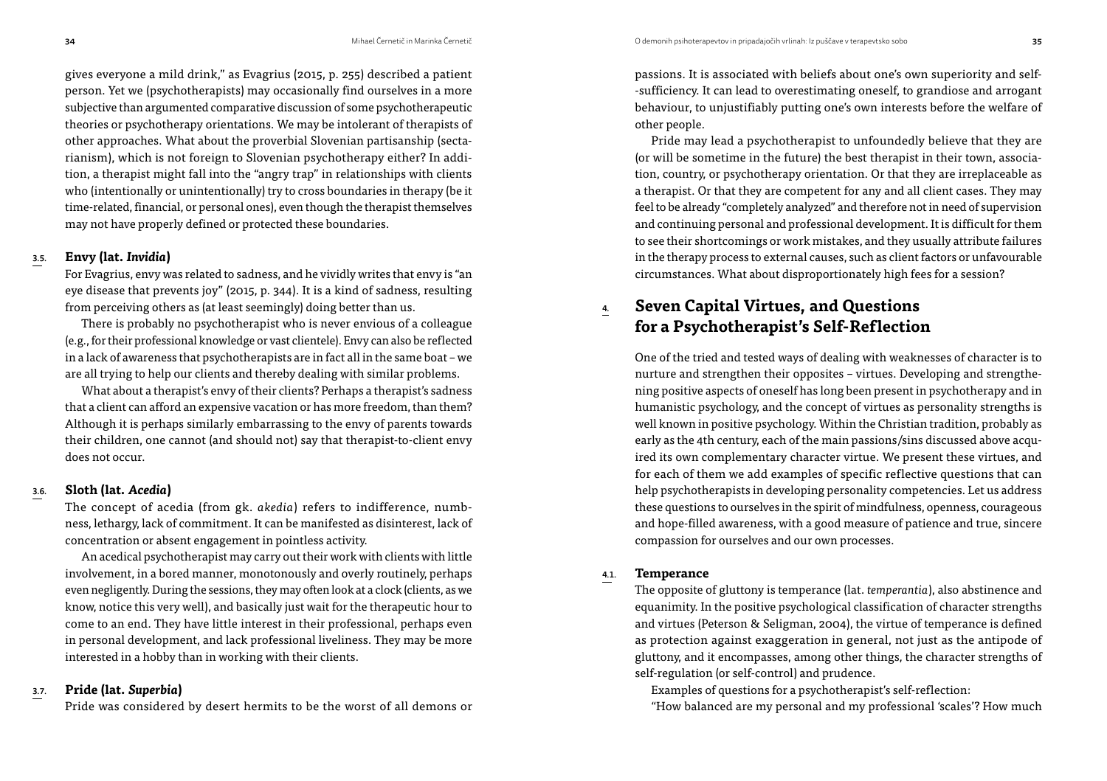gives everyone a mild drink," as Evagrius (2015, p. 255) described a patient person. Yet we (psychotherapists) may occasionally find ourselves in a more subjective than argumented comparative discussion of some psychotherapeutic theories or psychotherapy orientations. We may be intolerant of therapists of other approaches. What about the proverbial Slovenian partisanship (sectarianism), which is not foreign to Slovenian psychotherapy either? In addition, a therapist might fall into the "angry trap" in relationships with clients who (intentionally or unintentionally) try to cross boundaries in therapy (be it time-related, financial, or personal ones), even though the therapist themselves may not have properly defined or protected these boundaries.

#### 3.5. **Envy (lat.** *Invidia***)**

For Evagrius, envy was related to sadness, and he vividly writes that envy is "an eye disease that prevents joy" (2015, p. 344). It is a kind of sadness, resulting from perceiving others as (at least seemingly) doing better than us.

There is probably no psychotherapist who is never envious of a colleague (e.g., for their professional knowledge or vast clientele). Envy can also be reflected in a lack of awareness that psychotherapists are in fact all in the same boat – we are all trying to help our clients and thereby dealing with similar problems.

What about a therapist's envy of their clients? Perhaps a therapist's sadness that a client can afford an expensive vacation or has more freedom, than them? Although it is perhaps similarly embarrassing to the envy of parents towards their children, one cannot (and should not) say that therapist-to-client envy does not occur.

#### 3.6. **Sloth (lat.** *Acedia***)**

The concept of acedia (from gk. *akedia*) refers to indifference, numbness, lethargy, lack of commitment. It can be manifested as disinterest, lack of concentration or absent engagement in pointless activity.

An acedical psychotherapist may carry out their work with clients with little involvement, in a bored manner, monotonously and overly routinely, perhaps even negligently. During the sessions, they may often look at a clock (clients, as we know, notice this very well), and basically just wait for the therapeutic hour to come to an end. They have little interest in their professional, perhaps even in personal development, and lack professional liveliness. They may be more interested in a hobby than in working with their clients.

#### 3.7. **Pride (lat.** *Superbia***)**

Pride was considered by desert hermits to be the worst of all demons or

passions. It is associated with beliefs about one's own superiority and self- -sufficiency. It can lead to overestimating oneself, to grandiose and arrogant behaviour, to unjustifiably putting one's own interests before the welfare of other people.

Pride may lead a psychotherapist to unfoundedly believe that they are (or will be sometime in the future) the best therapist in their town, association, country, or psychotherapy orientation. Or that they are irreplaceable as a therapist. Or that they are competent for any and all client cases. They may feel to be already "completely analyzed" and therefore not in need of supervision and continuing personal and professional development. It is difficult for them to see their shortcomings or work mistakes, and they usually attribute failures in the therapy process to external causes, such as client factors or unfavourable circumstances. What about disproportionately high fees for a session?

# 4. **Seven Capital Virtues, and Questions for a Psychotherapist's Self-Reflection**

One of the tried and tested ways of dealing with weaknesses of character is to nurture and strengthen their opposites – virtues. Developing and strengthening positive aspects of oneself has long been present in psychotherapy and in humanistic psychology, and the concept of virtues as personality strengths is well known in positive psychology. Within the Christian tradition, probably as early as the 4th century, each of the main passions/sins discussed above acquired its own complementary character virtue. We present these virtues, and for each of them we add examples of specific reflective questions that can help psychotherapists in developing personality competencies. Let us address these questions to ourselves in the spirit of mindfulness, openness, courageous and hope-filled awareness, with a good measure of patience and true, sincere compassion for ourselves and our own processes.

#### 4.1. **Temperance**

The opposite of gluttony is temperance (lat. *temperantia*), also abstinence and equanimity. In the positive psychological classification of character strengths and virtues (Peterson & Seligman, 2004), the virtue of temperance is defined as protection against exaggeration in general, not just as the antipode of gluttony, and it encompasses, among other things, the character strengths of self-regulation (or self-control) and prudence.

Examples of questions for a psychotherapist's self-reflection:

"How balanced are my personal and my professional 'scales'? How much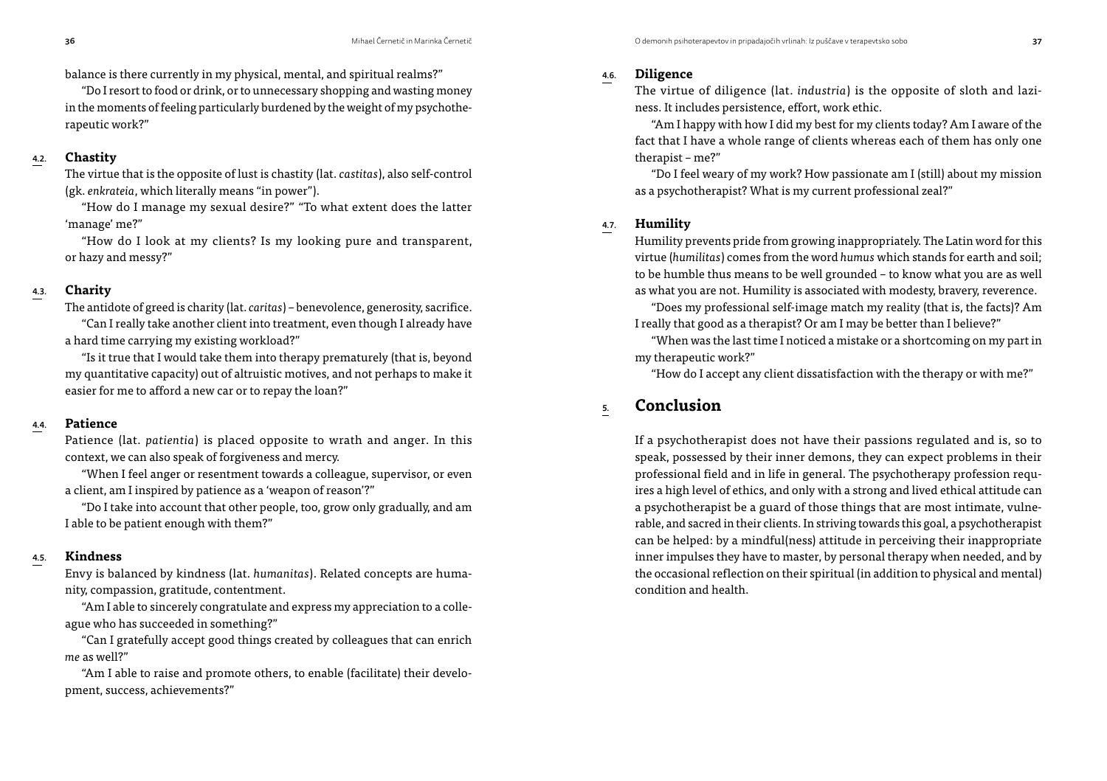balance is there currently in my physical, mental, and spiritual realms?"

"Do I resort to food or drink, or to unnecessary shopping and wasting money in the moments of feeling particularly burdened by the weight of my psychotherapeutic work?"

## 4.2. **Chastity**

The virtue that is the opposite of lust is chastity (lat. *castitas*), also self-control (gk. *enkrateia*, which literally means "in power").

"How do I manage my sexual desire?" "To what extent does the latter 'manage' me?"

"How do I look at my clients? Is my looking pure and transparent, or hazy and messy?"

# 4.3. **Charity**

The antidote of greed is charity (lat. *caritas*) – benevolence, generosity, sacrifice. "Can I really take another client into treatment, even though I already have a hard time carrying my existing workload?"

"Is it true that I would take them into therapy prematurely (that is, beyond my quantitative capacity) out of altruistic motives, and not perhaps to make it easier for me to afford a new car or to repay the loan?"

## 4.4. **Patience**

Patience (lat. *patientia*) is placed opposite to wrath and anger. In this context, we can also speak of forgiveness and mercy.

"When I feel anger or resentment towards a colleague, supervisor, or even a client, am I inspired by patience as a 'weapon of reason'?"

"Do I take into account that other people, too, grow only gradually, and am I able to be patient enough with them?"

## 4.5. **Kindness**

Envy is balanced by kindness (lat. *humanitas*). Related concepts are humanity, compassion, gratitude, contentment.

"Am I able to sincerely congratulate and express my appreciation to a colleague who has succeeded in something?"

"Can I gratefully accept good things created by colleagues that can enrich *me* as well?"

"Am I able to raise and promote others, to enable (facilitate) their development, success, achievements?"

# 4.6. **Diligence**

The virtue of diligence (lat. *industria*) is the opposite of sloth and laziness. It includes persistence, effort, work ethic.

"Am I happy with how I did my best for my clients today? Am I aware of the fact that I have a whole range of clients whereas each of them has only one therapist – me?"

"Do I feel weary of my work? How passionate am I (still) about my mission as a psychotherapist? What is my current professional zeal?"

## 4.7. **Humility**

Humility prevents pride from growing inappropriately. The Latin word for this virtue (*humilitas*) comes from the word *humus* which stands for earth and soil; to be humble thus means to be well grounded – to know what you are as well as what you are not. Humility is associated with modesty, bravery, reverence.

"Does my professional self-image match my reality (that is, the facts)? Am I really that good as a therapist? Or am I may be better than I believe?"

"When was the last time I noticed a mistake or a shortcoming on my part in my therapeutic work?"

"How do I accept any client dissatisfaction with the therapy or with me?"

# 5. **Conclusion**

If a psychotherapist does not have their passions regulated and is, so to speak, possessed by their inner demons, they can expect problems in their professional field and in life in general. The psychotherapy profession requires a high level of ethics, and only with a strong and lived ethical attitude can a psychotherapist be a guard of those things that are most intimate, vulnerable, and sacred in their clients. In striving towards this goal, a psychotherapist can be helped: by a mindful(ness) attitude in perceiving their inappropriate inner impulses they have to master, by personal therapy when needed, and by the occasional reflection on their spiritual (in addition to physical and mental) condition and health.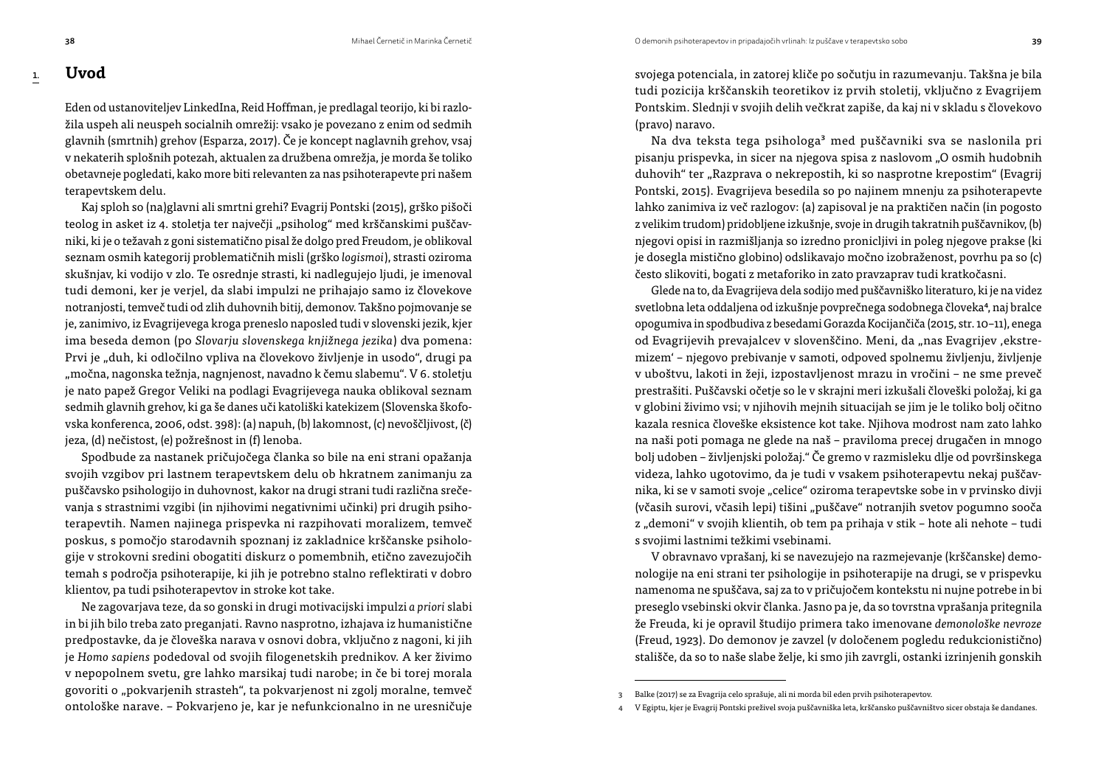### 1. **Uvod**

Eden od ustanoviteljev LinkedIna, Reid Hoffman, je predlagal teorijo, ki bi razložila uspeh ali neuspeh socialnih omrežij: vsako je povezano z enim od sedmih glavnih (smrtnih) grehov (Esparza, 2017). Če je koncept naglavnih grehov, vsaj v nekaterih splošnih potezah, aktualen za družbena omrežja, je morda še toliko obetavneje pogledati, kako more biti relevanten za nas psihoterapevte pri našem terapevtskem delu.

Kaj sploh so (na)glavni ali smrtni grehi? Evagrij Pontski (2015), grško pišoči teolog in asket iz 4. stoletja ter največji "psiholog" med krščanskimi puščavniki, ki je o težavah z goni sistematično pisal že dolgo pred Freudom, je oblikoval seznam osmih kategorij problematičnih misli (grško *logismoi*), strasti oziroma skušnjav, ki vodijo v zlo. Te osrednje strasti, ki nadlegujejo ljudi, je imenoval tudi demoni, ker je verjel, da slabi impulzi ne prihajajo samo iz človekove notranjosti, temveč tudi od zlih duhovnih bitij, demonov. Takšno pojmovanje se je, zanimivo, iz Evagrijevega kroga preneslo naposled tudi v slovenski jezik, kjer ima beseda demon (po *Slovarju slovenskega knjižnega jezika*) dva pomena: Prvi je "duh, ki odločilno vpliva na človekovo življenje in usodo", drugi pa "močna, nagonska težnja, nagnjenost, navadno k čemu slabemu". V 6. stoletju je nato papež Gregor Veliki na podlagi Evagrijevega nauka oblikoval seznam sedmih glavnih grehov, ki ga še danes uči katoliški katekizem (Slovenska škofovska konferenca, 2006, odst. 398): (a) napuh, (b) lakomnost, (c) nevoščljivost, (č) jeza, (d) nečistost, (e) požrešnost in (f) lenoba.

Spodbude za nastanek pričujočega članka so bile na eni strani opažanja svojih vzgibov pri lastnem terapevtskem delu ob hkratnem zanimanju za puščavsko psihologijo in duhovnost, kakor na drugi strani tudi različna srečevanja s strastnimi vzgibi (in njihovimi negativnimi učinki) pri drugih psihoterapevtih. Namen najinega prispevka ni razpihovati moralizem, temveč poskus, s pomočjo starodavnih spoznanj iz zakladnice krščanske psihologije v strokovni sredini obogatiti diskurz o pomembnih, etično zavezujočih temah s področja psihoterapije, ki jih je potrebno stalno reflektirati v dobro klientov, pa tudi psihoterapevtov in stroke kot take.

Ne zagovarjava teze, da so gonski in drugi motivacijski impulzi *a priori* slabi in bi jih bilo treba zato preganjati. Ravno nasprotno, izhajava iz humanistične predpostavke, da je človeška narava v osnovi dobra, vključno z nagoni, ki jih je *Homo sapiens* podedoval od svojih filogenetskih prednikov. A ker živimo v nepopolnem svetu, gre lahko marsikaj tudi narobe; in če bi torej morala govoriti o "pokvarjenih strasteh", ta pokvarjenost ni zgolj moralne, temveč ontološke narave. – Pokvarjeno je, kar je nefunkcionalno in ne uresničuje svojega potenciala, in zatorej kliče po sočutju in razumevanju. Takšna je bila tudi pozicija krščanskih teoretikov iz prvih stoletij, vključno z Evagrijem Pontskim. Slednji v svojih delih večkrat zapiše, da kaj ni v skladu s človekovo (pravo) naravo.

Na dva teksta tega psihologa<sup>3</sup> med puščavniki sva se naslonila pri pisanju prispevka, in sicer na njegova spisa z naslovom "O osmih hudobnih duhovih" ter "Razprava o nekrepostih, ki so nasprotne krepostim" (Evagrij Pontski, 2015). Evagrijeva besedila so po najinem mnenju za psihoterapevte lahko zanimiva iz več razlogov: (a) zapisoval je na praktičen način (in pogosto z velikim trudom) pridobljene izkušnje, svoje in drugih takratnih puščavnikov, (b) njegovi opisi in razmišljanja so izredno pronicljivi in poleg njegove prakse (ki je dosegla mistično globino) odslikavajo močno izobraženost, povrhu pa so (c) često slikoviti, bogati z metaforiko in zato pravzaprav tudi kratkočasni.

Glede na to, da Evagrijeva dela sodijo med puščavniško literaturo, ki je na videz svetlobna leta oddaljena od izkušnje povprečnega sodobnega človeka4, naj bralce opogumiva in spodbudiva z besedami Gorazda Kocijančiča (2015, str. 10–11), enega od Evagrijevih prevajalcev v slovenščino. Meni, da "nas Evagrijev ,ekstremizem' – njegovo prebivanje v samoti, odpoved spolnemu življenju, življenje v uboštvu, lakoti in žeji, izpostavljenost mrazu in vročini – ne sme preveč prestrašiti. Puščavski očetje so le v skrajni meri izkušali človeški položaj, ki ga v globini živimo vsi; v njihovih mejnih situacijah se jim je le toliko bolj očitno kazala resnica človeške eksistence kot take. Njihova modrost nam zato lahko na naši poti pomaga ne glede na naš – praviloma precej drugačen in mnogo bolj udoben – življenjski položaj." Če gremo v razmisleku dlje od površinskega videza, lahko ugotovimo, da je tudi v vsakem psihoterapevtu nekaj puščavnika, ki se v samoti svoje "celice" oziroma terapevtske sobe in v prvinsko divji (včasih surovi, včasih lepi) tišini "puščave" notranjih svetov pogumno sooča z "demoni" v svojih klientih, ob tem pa prihaja v stik – hote ali nehote – tudi s svojimi lastnimi težkimi vsebinami.

V obravnavo vprašanj, ki se navezujejo na razmejevanje (krščanske) demonologije na eni strani ter psihologije in psihoterapije na drugi, se v prispevku namenoma ne spuščava, saj za to v pričujočem kontekstu ni nujne potrebe in bi preseglo vsebinski okvir članka. Jasno pa je, da so tovrstna vprašanja pritegnila že Freuda, ki je opravil študijo primera tako imenovane *demonološke nevroze* (Freud, 1923). Do demonov je zavzel (v določenem pogledu redukcionistično) stališče, da so to naše slabe želje, ki smo jih zavrgli, ostanki izrinjenih gonskih

<sup>3</sup> Balke (2017) se za Evagrija celo sprašuje, ali ni morda bil eden prvih psihoterapevtov.

<sup>4</sup> V Egiptu, kjer je Evagrij Pontski preživel svoja puščavniška leta, krščansko puščavništvo sicer obstaja še dandanes.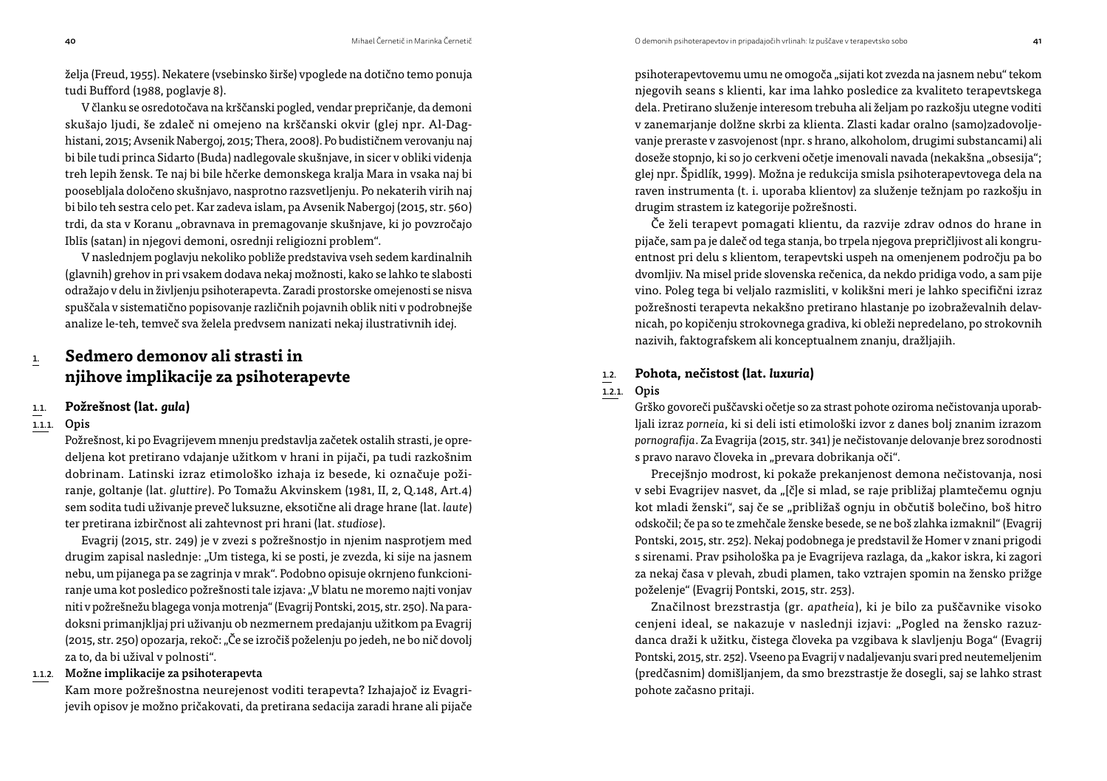želja (Freud, 1955). Nekatere (vsebinsko širše) vpoglede na dotično temo ponuja tudi Bufford (1988, poglavje 8).

V članku se osredotočava na krščanski pogled, vendar prepričanje, da demoni skušajo ljudi, še zdaleč ni omejeno na krščanski okvir (glej npr. Al-Daghistani, 2015; Avsenik Nabergoj, 2015; Thera, 2008). Po budističnem verovanju naj bi bile tudi princa Sidarto (Buda) nadlegovale skušnjave, in sicer v obliki videnja treh lepih žensk. Te naj bi bile hčerke demonskega kralja Mara in vsaka naj bi poosebljala določeno skušnjavo, nasprotno razsvetljenju. Po nekaterih virih naj bi bilo teh sestra celo pet. Kar zadeva islam, pa Avsenik Nabergoj (2015, str. 560) trdi, da sta v Koranu "obravnava in premagovanje skušnjave, ki jo povzročajo Iblīs (satan) in njegovi demoni, osrednji religiozni problem".

V naslednjem poglavju nekoliko pobliže predstaviva vseh sedem kardinalnih (glavnih) grehov in pri vsakem dodava nekaj možnosti, kako se lahko te slabosti odražajo v delu in življenju psihoterapevta. Zaradi prostorske omejenosti se nisva spuščala v sistematično popisovanje različnih pojavnih oblik niti v podrobnejše analize le-teh, temveč sva želela predvsem nanizati nekaj ilustrativnih idej.

# 1. **Sedmero demonov ali strasti in njihove implikacije za psihoterapevte**

## 1.1. **Požrešnost (lat.** *gula***)**

#### 1.1.1. Opis

Požrešnost, ki po Evagrijevem mnenju predstavlja začetek ostalih strasti, je opredeljena kot pretirano vdajanje užitkom v hrani in pijači, pa tudi razkošnim dobrinam. Latinski izraz etimološko izhaja iz besede, ki označuje požiranje, goltanje (lat. *gluttire*). Po Tomažu Akvinskem (1981, II, 2, Q.148, Art.4) sem sodita tudi uživanje preveč luksuzne, eksotične ali drage hrane (lat. *laute*) ter pretirana izbirčnost ali zahtevnost pri hrani (lat. *studiose*).

Evagrij (2015, str. 249) je v zvezi s požrešnostjo in njenim nasprotjem med drugim zapisal naslednje: "Um tistega, ki se posti, je zvezda, ki sije na jasnem nebu, um pijanega pa se zagrinja v mrak". Podobno opisuje okrnjeno funkcioniranje uma kot posledico požrešnosti tale izjava: "V blatu ne moremo najti vonjav niti v požrešnežu blagega vonja motrenja" (Evagrij Pontski, 2015, str. 250). Na paradoksni primanjkljaj pri uživanju ob nezmernem predajanju užitkom pa Evagrij (2015, str. 250) opozarja, rekoč: "Če se izročiš poželenju po jedeh, ne bo nič dovolj za to, da bi užival v polnosti".

#### 1.1.2. Možne implikacije za psihoterapevta

Kam more požrešnostna neurejenost voditi terapevta? Izhajajoč iz Evagrijevih opisov je možno pričakovati, da pretirana sedacija zaradi hrane ali pijače

psihoterapevtovemu umu ne omogoča "sijati kot zvezda na jasnem nebu" tekom njegovih seans s klienti, kar ima lahko posledice za kvaliteto terapevtskega dela. Pretirano služenje interesom trebuha ali željam po razkošju utegne voditi v zanemarjanje dolžne skrbi za klienta. Zlasti kadar oralno (samo)zadovoljevanje preraste v zasvojenost (npr. s hrano, alkoholom, drugimi substancami) ali doseže stopnjo, ki so jo cerkveni očetje imenovali navada (nekakšna "obsesija"; glej npr. Špidlík, 1999). Možna je redukcija smisla psihoterapevtovega dela na raven instrumenta (t. i. uporaba klientov) za služenje težnjam po razkošju in drugim strastem iz kategorije požrešnosti.

Če želi terapevt pomagati klientu, da razvije zdrav odnos do hrane in pijače, sam pa je daleč od tega stanja, bo trpela njegova prepričljivost ali kongruentnost pri delu s klientom, terapevtski uspeh na omenjenem področju pa bo dvomljiv. Na misel pride slovenska rečenica, da nekdo pridiga vodo, a sam pije vino. Poleg tega bi veljalo razmisliti, v kolikšni meri je lahko specifični izraz požrešnosti terapevta nekakšno pretirano hlastanje po izobraževalnih delavnicah, po kopičenju strokovnega gradiva, ki obleži nepredelano, po strokovnih nazivih, faktografskem ali konceptualnem znanju, dražljajih.

## 1.2. **Pohota, nečistost (lat.** *luxuria***)**

#### 1.2.1. Opis

Grško govoreči puščavski očetje so za strast pohote oziroma nečistovanja uporabljali izraz *porneia*, ki si deli isti etimološki izvor z danes bolj znanim izrazom *pornografija*. Za Evagrija (2015, str. 341) je nečistovanje delovanje brez sorodnosti s pravo naravo človeka in "prevara dobrikanja oči".

Precejšnjo modrost, ki pokaže prekanjenost demona nečistovanja, nosi v sebi Evagrijev nasvet, da "[č]e si mlad, se raje približaj plamtečemu ognju kot mladi ženski", saj če se "približaš ognju in občutiš bolečino, boš hitro odskočil; če pa so te zmehčale ženske besede, se ne boš zlahka izmaknil" (Evagrij Pontski, 2015, str. 252). Nekaj podobnega je predstavil že Homer v znani prigodi s sirenami. Prav psihološka pa je Evagrijeva razlaga, da "kakor iskra, ki zagori za nekaj časa v plevah, zbudi plamen, tako vztrajen spomin na žensko prižge poželenje" (Evagrij Pontski, 2015, str. 253).

Značilnost brezstrastja (gr. *apatheia*), ki je bilo za puščavnike visoko cenjeni ideal, se nakazuje v naslednji izjavi: "Pogled na žensko razuzdanca draži k užitku, čistega človeka pa vzgibava k slavljenju Boga" (Evagrij Pontski, 2015, str. 252). Vseeno pa Evagrij v nadaljevanju svari pred neutemeljenim (predčasnim) domišljanjem, da smo brezstrastje že dosegli, saj se lahko strast pohote začasno pritaji.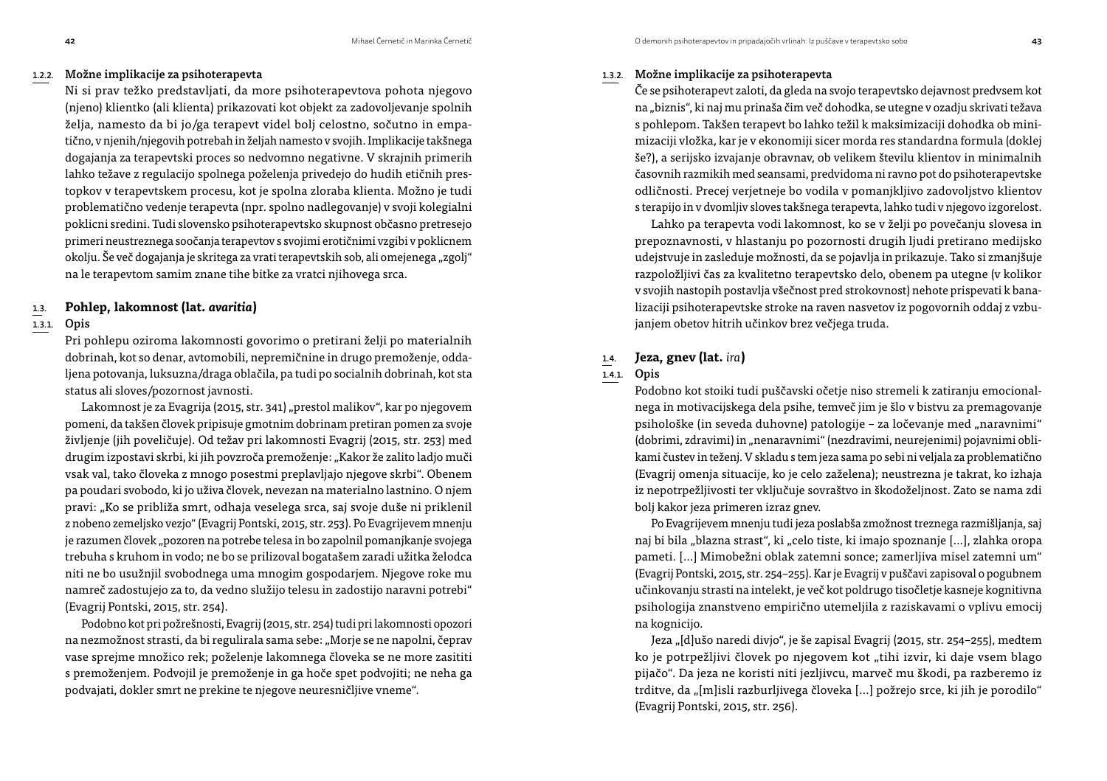#### 1.2.2. Možne implikacije za psihoterapevta

Ni si prav težko predstavljati, da more psihoterapevtova pohota njegovo (njeno) klientko (ali klienta) prikazovati kot objekt za zadovoljevanje spolnih želja, namesto da bi jo/ga terapevt videl bolj celostno, sočutno in empatično, v njenih/njegovih potrebah in željah namesto v svojih. Implikacije takšnega dogajanja za terapevtski proces so nedvomno negativne. V skrajnih primerih lahko težave z regulacijo spolnega poželenja privedejo do hudih etičnih prestopkov v terapevtskem procesu, kot je spolna zloraba klienta. Možno je tudi problematično vedenje terapevta (npr. spolno nadlegovanje) v svoji kolegialni poklicni sredini. Tudi slovensko psihoterapevtsko skupnost občasno pretresejo primeri neustreznega soočanja terapevtov s svojimi erotičnimi vzgibi v poklicnem okolju. Še več dogajanja je skritega za vrati terapevtskih sob, ali omejenega "zgolj" na le terapevtom samim znane tihe bitke za vratci njihovega srca.

### 1.3. **Pohlep, lakomnost (lat.** *avaritia***)**

#### 1.3.1. Opis

Pri pohlepu oziroma lakomnosti govorimo o pretirani želji po materialnih dobrinah, kot so denar, avtomobili, nepremičnine in drugo premoženje, oddaljena potovanja, luksuzna/draga oblačila, pa tudi po socialnih dobrinah, kot sta status ali sloves/pozornost javnosti.

Lakomnost je za Evagrija (2015, str. 341) "prestol malikov", kar po njegovem pomeni, da takšen človek pripisuje gmotnim dobrinam pretiran pomen za svoje življenje (jih poveličuje). Od težav pri lakomnosti Evagrij (2015, str. 253) med drugim izpostavi skrbi, ki jih povzroča premoženje: "Kakor že zalito ladjo muči vsak val, tako človeka z mnogo posestmi preplavljajo njegove skrbi". Obenem pa poudari svobodo, ki jo uživa človek, nevezan na materialno lastnino. O njem pravi: "Ko se približa smrt, odhaja veselega srca, saj svoje duše ni priklenil z nobeno zemeljsko vezjo" (Evagrij Pontski, 2015, str. 253). Po Evagrijevem mnenju je razumen človek "pozoren na potrebe telesa in bo zapolnil pomanjkanje svojega trebuha s kruhom in vodo; ne bo se prilizoval bogatašem zaradi užitka želodca niti ne bo usužnjil svobodnega uma mnogim gospodarjem. Njegove roke mu namreč zadostujejo za to, da vedno služijo telesu in zadostijo naravni potrebi" (Evagrij Pontski, 2015, str. 254).

Podobno kot pri požrešnosti, Evagrij (2015, str. 254) tudi pri lakomnosti opozori na nezmožnost strasti, da bi regulirala sama sebe: "Morje se ne napolni, čeprav vase sprejme množico rek; poželenje lakomnega človeka se ne more zasititi s premoženjem. Podvojil je premoženje in ga hoče spet podvojiti; ne neha ga podvajati, dokler smrt ne prekine te njegove neuresničljive vneme".

#### 1.3.2. Možne implikacije za psihoterapevta

Če se psihoterapevt zaloti, da gleda na svojo terapevtsko dejavnost predvsem kot na "biznis", ki naj mu prinaša čim več dohodka, se utegne v ozadju skrivati težava s pohlepom. Takšen terapevt bo lahko težil k maksimizaciji dohodka ob minimizaciji vložka, kar je v ekonomiji sicer morda res standardna formula (doklej še?), a serijsko izvajanje obravnav, ob velikem številu klientov in minimalnih časovnih razmikih med seansami, predvidoma ni ravno pot do psihoterapevtske odličnosti. Precej verjetneje bo vodila v pomanjkljivo zadovoljstvo klientov s terapijo in v dvomljiv sloves takšnega terapevta, lahko tudi v njegovo izgorelost.

Lahko pa terapevta vodi lakomnost, ko se v želji po povečanju slovesa in prepoznavnosti, v hlastanju po pozornosti drugih ljudi pretirano medijsko udejstvuje in zasleduje možnosti, da se pojavlja in prikazuje. Tako si zmanjšuje razpoložljivi čas za kvalitetno terapevtsko delo, obenem pa utegne (v kolikor v svojih nastopih postavlja všečnost pred strokovnost) nehote prispevati k banalizaciji psihoterapevtske stroke na raven nasvetov iz pogovornih oddaj z vzbujanjem obetov hitrih učinkov brez večjega truda.

#### 1.4. **Jeza, gnev (lat.** *ira***)**

#### 1.4.1. Opis

Podobno kot stoiki tudi puščavski očetje niso stremeli k zatiranju emocionalnega in motivacijskega dela psihe, temveč jim je šlo v bistvu za premagovanje psihološke (in seveda duhovne) patologije - za ločevanje med "naravnimi" (dobrimi, zdravimi) in "nenaravnimi" (nezdravimi, neurejenimi) pojavnimi oblikami čustev in teženj. V skladu s tem jeza sama po sebi ni veljala za problematično (Evagrij omenja situacije, ko je celo zaželena); neustrezna je takrat, ko izhaja iz nepotrpežljivosti ter vključuje sovraštvo in škodoželjnost. Zato se nama zdi bolj kakor jeza primeren izraz gnev.

Po Evagrijevem mnenju tudi jeza poslabša zmožnost treznega razmišljanja, saj naj bi bila "blazna strast", ki "celo tiste, ki imajo spoznanje […], zlahka oropa pameti. […] Mimobežni oblak zatemni sonce; zamerljiva misel zatemni um" (Evagrij Pontski, 2015, str. 254–255). Kar je Evagrij v puščavi zapisoval o pogubnem učinkovanju strasti na intelekt, je več kot poldrugo tisočletje kasneje kognitivna psihologija znanstveno empirično utemeljila z raziskavami o vplivu emocij na kognicijo.

Jeza "[d]ušo naredi divjo", je še zapisal Evagrij (2015, str. 254-255), medtem ko je potrpežljivi človek po njegovem kot "tihi izvir, ki daje vsem blago pijačo". Da jeza ne koristi niti jezljivcu, marveč mu škodi, pa razberemo iz trditve, da "[m]isli razburljivega človeka [...] požrejo srce, ki jih je porodilo" (Evagrij Pontski, 2015, str. 256).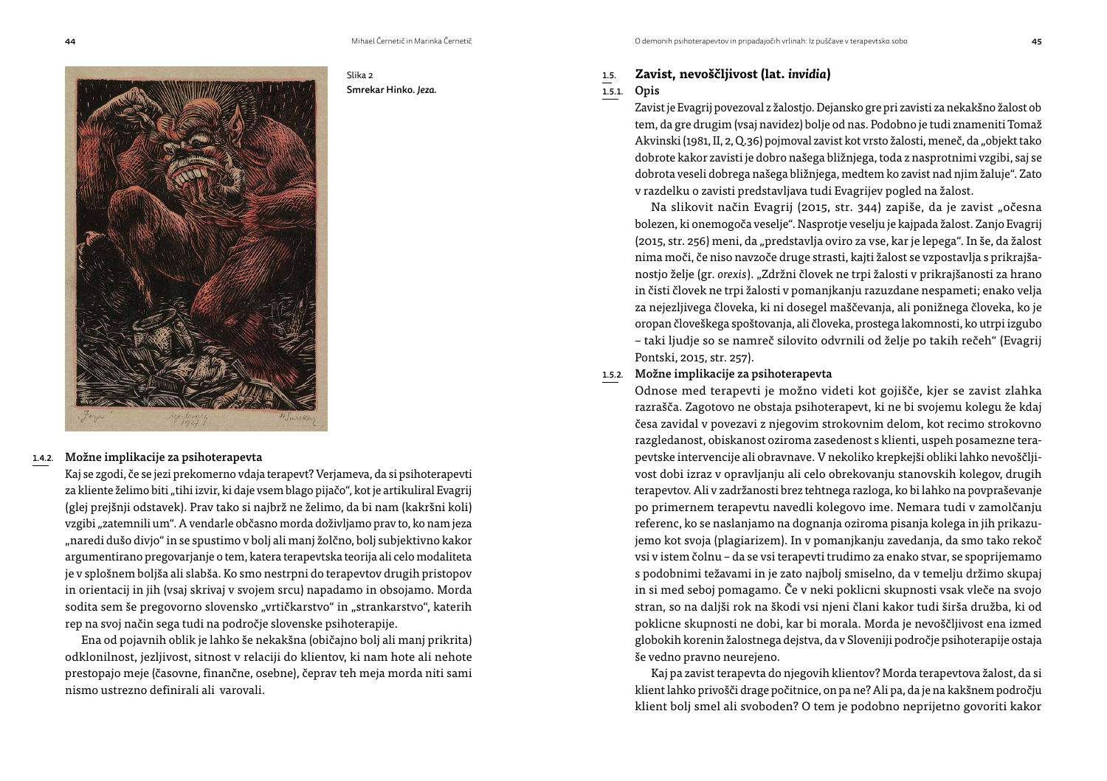Smrekar Hinko. *Jeza.*

Slika 2



#### 1.4.2. Možne implikacije za psihoterapevta

Kaj se zgodi, če se jezi prekomerno vdaja terapevt? Verjameva, da si psihoterapevti za kliente želimo biti "tihi izvir, ki daje vsem blago pijačo", kot je artikuliral Evagrij (glej prejšnji odstavek). Prav tako si najbrž ne želimo, da bi nam (kakršni koli) vzgibi "zatemnili um". A vendarle občasno morda doživljamo prav to, ko nam jeza "naredi dušo divjo" in se spustimo v bolj ali manj žolčno, bolj subjektivno kakor argumentirano pregovarjanje o tem, katera terapevtska teorija ali celo modaliteta je v splošnem boljša ali slabša. Ko smo nestrpni do terapevtov drugih pristopov in orientacij in jih (vsaj skrivaj v svojem srcu) napadamo in obsojamo. Morda sodita sem še pregovorno slovensko "vrtičkarstvo" in "strankarstvo", katerih rep na svoj način sega tudi na področje slovenske psihoterapije.

Ena od pojavnih oblik je lahko še nekakšna (običajno bolj ali manj prikrita) odklonilnost, jezljivost, sitnost v relaciji do klientov, ki nam hote ali nehote prestopajo meje (časovne, finančne, osebne), čeprav teh meja morda niti sami nismo ustrezno definirali ali varovali.

## 1.5. **Zavist, nevoščljivost (lat.** *invidia***)**

### 1.5.1. Opis

Zavist je Evagrij povezoval z žalostjo. Dejansko gre pri zavisti za nekakšno žalost ob tem, da gre drugim (vsaj navidez) bolje od nas. Podobno je tudi znameniti Tomaž Akvinski (1981, II, 2, Q.36) pojmoval zavist kot vrsto žalosti, meneč, da "objekt tako dobrote kakor zavisti je dobro našega bližnjega, toda z nasprotnimi vzgibi, saj se dobrota veseli dobrega našega bližnjega, medtem ko zavist nad njim žaluje". Zato v razdelku o zavisti predstavljava tudi Evagrijev pogled na žalost.

Na slikovit način Evagrij (2015, str. 344) zapiše, da je zavist "očesna bolezen, ki onemogoča veselje". Nasprotje veselju je kajpada žalost. Zanjo Evagrij (2015, str. 256) meni, da "predstavlja oviro za vse, kar je lepega". In še, da žalost nima moči, če niso navzoče druge strasti, kajti žalost se vzpostavlja s prikrajšanostjo želje (gr. *orexis*). "Zdržni človek ne trpi žalosti v prikrajšanosti za hrano in čisti človek ne trpi žalosti v pomanjkanju razuzdane nespameti; enako velja za nejezljivega človeka, ki ni dosegel maščevanja, ali ponižnega človeka, ko je oropan človeškega spoštovanja, ali človeka, prostega lakomnosti, ko utrpi izgubo – taki ljudje so se namreč silovito odvrnili od želje po takih rečeh" (Evagrij Pontski, 2015, str. 257).

#### 1.5.2. Možne implikacije za psihoterapevta

Odnose med terapevti je možno videti kot gojišče, kjer se zavist zlahka razrašča. Zagotovo ne obstaja psihoterapevt, ki ne bi svojemu kolegu že kdaj česa zavidal v povezavi z njegovim strokovnim delom, kot recimo strokovno razgledanost, obiskanost oziroma zasedenost s klienti, uspeh posamezne terapevtske intervencije ali obravnave. V nekoliko krepkejši obliki lahko nevoščljivost dobi izraz v opravljanju ali celo obrekovanju stanovskih kolegov, drugih terapevtov. Ali v zadržanosti brez tehtnega razloga, ko bi lahko na povpraševanje po primernem terapevtu navedli kolegovo ime. Nemara tudi v zamolčanju referenc, ko se naslanjamo na dognanja oziroma pisanja kolega in jih prikazujemo kot svoja (plagiarizem). In v pomanjkanju zavedanja, da smo tako rekoč vsi v istem čolnu – da se vsi terapevti trudimo za enako stvar, se spoprijemamo s podobnimi težavami in je zato najbolj smiselno, da v temelju držimo skupaj in si med seboj pomagamo. Če v neki poklicni skupnosti vsak vleče na svojo stran, so na daljši rok na škodi vsi njeni člani kakor tudi širša družba, ki od poklicne skupnosti ne dobi, kar bi morala. Morda je nevoščljivost ena izmed globokih korenin žalostnega dejstva, da v Sloveniji področje psihoterapije ostaja še vedno pravno neurejeno.

Kaj pa zavist terapevta do njegovih klientov? Morda terapevtova žalost, da si klient lahko privošči drage počitnice, on pa ne? Ali pa, da je na kakšnem področju klient bolj smel ali svoboden? O tem je podobno neprijetno govoriti kakor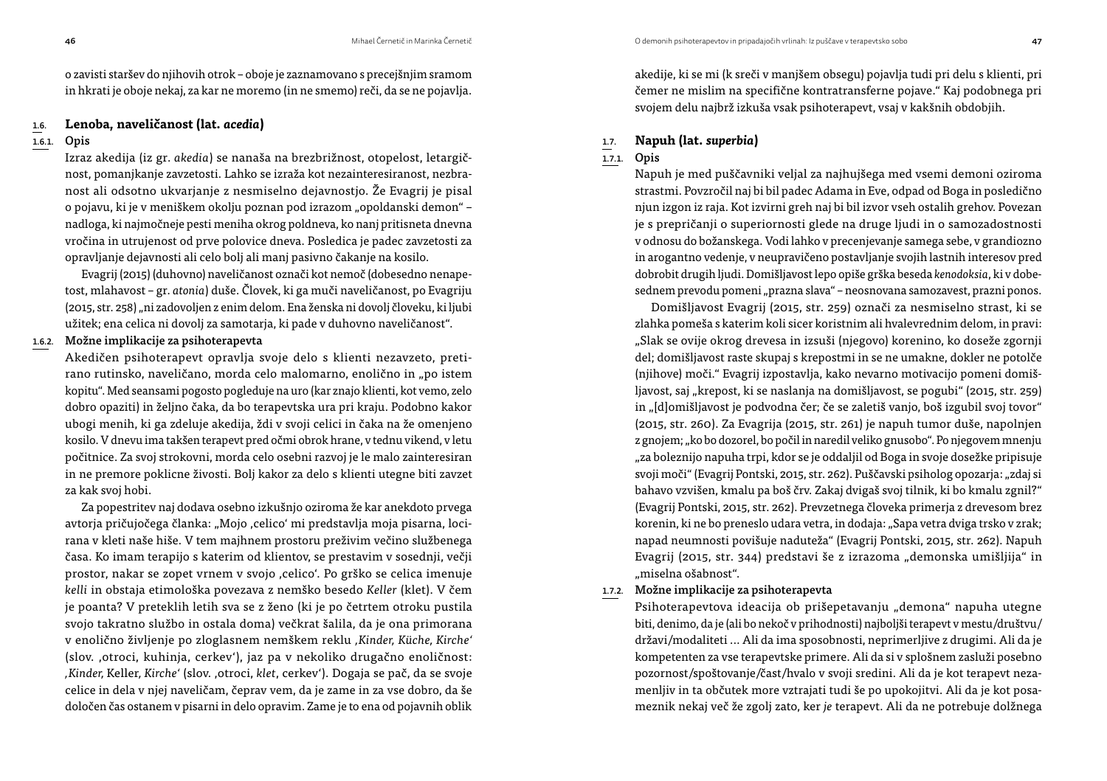o zavisti staršev do njihovih otrok – oboje je zaznamovano s precejšnjim sramom in hkrati je oboje nekaj, za kar ne moremo (in ne smemo) reči, da se ne pojavlja.

#### 1.6. **Lenoba, naveličanost (lat.** *acedia***)**

#### 1.6.1. Opis

Izraz akedija (iz gr. *akedia*) se nanaša na brezbrižnost, otopelost, letargičnost, pomanjkanje zavzetosti. Lahko se izraža kot nezainteresiranost, nezbranost ali odsotno ukvarjanje z nesmiselno dejavnostjo. Že Evagrij je pisal o pojavu, ki je v meniškem okolju poznan pod izrazom "opoldanski demon" nadloga, ki najmočneje pesti meniha okrog poldneva, ko nanj pritisneta dnevna vročina in utrujenost od prve polovice dneva. Posledica je padec zavzetosti za opravljanje dejavnosti ali celo bolj ali manj pasivno čakanje na kosilo.

Evagrij (2015) (duhovno) naveličanost označi kot nemoč (dobesedno nenapetost, mlahavost – gr. *atonia*) duše. Človek, ki ga muči naveličanost, po Evagriju (2015, str. 258) "ni zadovoljen z enim delom. Ena ženska ni dovolj človeku, ki ljubi užitek; ena celica ni dovolj za samotarja, ki pade v duhovno naveličanost".

### 1.6.2. Možne implikacije za psihoterapevta

Akedičen psihoterapevt opravlja svoje delo s klienti nezavzeto, pretirano rutinsko, naveličano, morda celo malomarno, enolično in "po istem kopitu". Med seansami pogosto pogleduje na uro (kar znajo klienti, kot vemo, zelo dobro opaziti) in željno čaka, da bo terapevtska ura pri kraju. Podobno kakor ubogi menih, ki ga zdeluje akedija, ždi v svoji celici in čaka na že omenjeno kosilo. V dnevu ima takšen terapevt pred očmi obrok hrane, v tednu vikend, v letu počitnice. Za svoj strokovni, morda celo osebni razvoj je le malo zainteresiran in ne premore poklicne živosti. Bolj kakor za delo s klienti utegne biti zavzet za kak svoj hobi.

Za popestritev naj dodava osebno izkušnjo oziroma že kar anekdoto prvega avtorja pričujočega članka: "Mojo ,celico' mi predstavlja moja pisarna, locirana v kleti naše hiše. V tem majhnem prostoru preživim večino službenega časa. Ko imam terapijo s katerim od klientov, se prestavim v sosednji, večji prostor, nakar se zopet vrnem v svojo ,celico'. Po grško se celica imenuje *kelli* in obstaja etimološka povezava z nemško besedo *Keller* (klet). V čem je poanta? V preteklih letih sva se z ženo (ki je po četrtem otroku pustila svojo takratno službo in ostala doma) večkrat šalila, da je ona primorana v enolično življenje po zloglasnem nemškem reklu *'Kinder, Küche, Kirche'* (slov. 'otroci, kuhinja, cerkev'), jaz pa v nekoliko drugačno enoličnost: *'Kinder,* Keller*, Kirche'* (slov. 'otroci, *klet*, cerkev'). Dogaja se pač, da se svoje celice in dela v njej naveličam, čeprav vem, da je zame in za vse dobro, da še določen čas ostanem v pisarni in delo opravim. Zame je to ena od pojavnih oblik akedije, ki se mi (k sreči v manjšem obsegu) pojavlja tudi pri delu s klienti, pri čemer ne mislim na specifične kontratransferne pojave." Kaj podobnega pri svojem delu najbrž izkuša vsak psihoterapevt, vsaj v kakšnih obdobjih.

### 1.7. **Napuh (lat.** *superbia***)**

#### 1.7.1. Opis

Napuh je med puščavniki veljal za najhujšega med vsemi demoni oziroma strastmi. Povzročil naj bi bil padec Adama in Eve, odpad od Boga in posledično njun izgon iz raja. Kot izvirni greh naj bi bil izvor vseh ostalih grehov. Povezan je s prepričanji o superiornosti glede na druge ljudi in o samozadostnosti v odnosu do božanskega. Vodi lahko v precenjevanje samega sebe, v grandiozno in arogantno vedenje, v neupravičeno postavljanje svojih lastnih interesov pred dobrobit drugih ljudi. Domišljavost lepo opiše grška beseda *kenodoksia*, ki v dobesednem prevodu pomeni "prazna slava" - neosnovana samozavest, prazni ponos.

Domišljavost Evagrij (2015, str. 259) označi za nesmiselno strast, ki se zlahka pomeša s katerim koli sicer koristnim ali hvalevrednim delom, in pravi: "Slak se ovije okrog drevesa in izsuši (njegovo) korenino, ko doseže zgornji del; domišljavost raste skupaj s krepostmi in se ne umakne, dokler ne potolče (njihove) moči." Evagrij izpostavlja, kako nevarno motivacijo pomeni domišljavost, saj "krepost, ki se naslanja na domišljavost, se pogubi" (2015, str. 259) in "[d]omišljavost je podvodna čer; če se zaletiš vanjo, boš izgubil svoj tovor" (2015, str. 260). Za Evagrija (2015, str. 261) je napuh tumor duše, napolnjen z gnojem; "ko bo dozorel, bo počil in naredil veliko gnusobo". Po njegovem mnenju "za boleznijo napuha trpi, kdor se je oddaljil od Boga in svoje dosežke pripisuje svoji moči" (Evagrij Pontski, 2015, str. 262). Puščavski psiholog opozarja: "zdaj si bahavo vzvišen, kmalu pa boš črv. Zakaj dvigaš svoj tilnik, ki bo kmalu zgnil?" (Evagrij Pontski, 2015, str. 262). Prevzetnega človeka primerja z drevesom brez korenin, ki ne bo preneslo udara vetra, in dodaja: "Sapa vetra dviga trsko v zrak; napad neumnosti povišuje naduteža" (Evagrij Pontski, 2015, str. 262). Napuh Evagrij (2015, str. 344) predstavi še z izrazoma "demonska umišlijia" in "miselna ošabnost".

#### 1.7.2. Možne implikacije za psihoterapevta

Psihoterapevtova ideacija ob prišepetavanju "demona" napuha utegne biti, denimo, da je (ali bo nekoč v prihodnosti) najboljši terapevt v mestu/društvu/ državi/modaliteti ... Ali da ima sposobnosti, neprimerljive z drugimi. Ali da je kompetenten za vse terapevtske primere. Ali da si v splošnem zasluži posebno pozornost/spoštovanje/čast/hvalo v svoji sredini. Ali da je kot terapevt nezamenljiv in ta občutek more vztrajati tudi še po upokojitvi. Ali da je kot posameznik nekaj več že zgolj zato, ker *je* terapevt. Ali da ne potrebuje dolžnega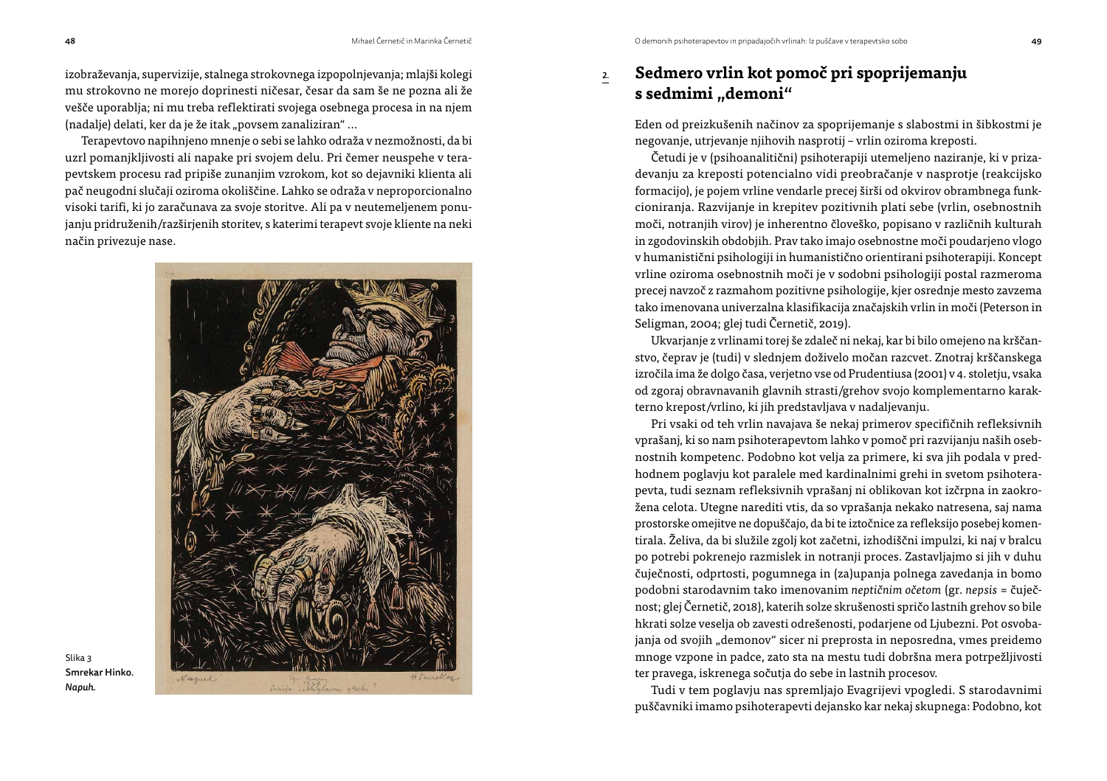izobraževanja, supervizije, stalnega strokovnega izpopolnjevanja; mlajši kolegi mu strokovno ne morejo doprinesti ničesar, česar da sam še ne pozna ali že vešče uporablja; ni mu treba reflektirati svojega osebnega procesa in na njem (nadalje) delati, ker da je že itak "povsem zanaliziran" ...

Terapevtovo napihnjeno mnenje o sebi se lahko odraža v nezmožnosti, da bi uzrl pomanjkljivosti ali napake pri svojem delu. Pri čemer neuspehe v terapevtskem procesu rad pripiše zunanjim vzrokom, kot so dejavniki klienta ali pač neugodni slučaji oziroma okoliščine. Lahko se odraža v neproporcionalno visoki tarifi, ki jo zaračunava za svoje storitve. Ali pa v neutemeljenem ponujanju pridruženih/razširjenih storitev, s katerimi terapevt svoje kliente na neki način privezuje nase.



Slika 3 Smrekar Hinko. *Napuh.*

# 2. **Sedmero vrlin kot pomoč pri spoprijemanju**  s sedmimi ..demoni"

Eden od preizkušenih načinov za spoprijemanje s slabostmi in šibkostmi je negovanje, utrjevanje njihovih nasprotij – vrlin oziroma kreposti.

Četudi je v (psihoanalitični) psihoterapiji utemeljeno naziranje, ki v prizadevanju za kreposti potencialno vidi preobračanje v nasprotje (reakcijsko formacijo), je pojem vrline vendarle precej širši od okvirov obrambnega funkcioniranja. Razvijanje in krepitev pozitivnih plati sebe (vrlin, osebnostnih moči, notranjih virov) je inherentno človeško, popisano v različnih kulturah in zgodovinskih obdobjih. Prav tako imajo osebnostne moči poudarjeno vlogo v humanistični psihologiji in humanistično orientirani psihoterapiji. Koncept vrline oziroma osebnostnih moči je v sodobni psihologiji postal razmeroma precej navzoč z razmahom pozitivne psihologije, kjer osrednje mesto zavzema tako imenovana univerzalna klasifikacija značajskih vrlin in moči (Peterson in Seligman, 2004; glej tudi Černetič, 2019).

Ukvarjanje z vrlinami torej še zdaleč ni nekaj, kar bi bilo omejeno na krščanstvo, čeprav je (tudi) v slednjem doživelo močan razcvet. Znotraj krščanskega izročila ima že dolgo časa, verjetno vse od Prudentiusa (2001) v 4. stoletju, vsaka od zgoraj obravnavanih glavnih strasti/grehov svojo komplementarno karakterno krepost/vrlino, ki jih predstavljava v nadaljevanju.

Pri vsaki od teh vrlin navajava še nekaj primerov specifičnih refleksivnih vprašanj, ki so nam psihoterapevtom lahko v pomoč pri razvijanju naših osebnostnih kompetenc. Podobno kot velja za primere, ki sva jih podala v predhodnem poglavju kot paralele med kardinalnimi grehi in svetom psihoterapevta, tudi seznam refleksivnih vprašanj ni oblikovan kot izčrpna in zaokrožena celota. Utegne narediti vtis, da so vprašanja nekako natresena, saj nama prostorske omejitve ne dopuščajo, da bi te iztočnice za refleksijo posebej komentirala. Želiva, da bi služile zgolj kot začetni, izhodiščni impulzi, ki naj v bralcu po potrebi pokrenejo razmislek in notranji proces. Zastavljajmo si jih v duhu čuječnosti, odprtosti, pogumnega in (za)upanja polnega zavedanja in bomo podobni starodavnim tako imenovanim *neptičnim očetom* (gr. *nepsis* = čuječnost; glej Černetič, 2018), katerih solze skrušenosti spričo lastnih grehov so bile hkrati solze veselja ob zavesti odrešenosti, podarjene od Ljubezni. Pot osvobajanja od svojih "demonov" sicer ni preprosta in neposredna, vmes preidemo mnoge vzpone in padce, zato sta na mestu tudi dobršna mera potrpežljivosti ter pravega, iskrenega sočutja do sebe in lastnih procesov.

Tudi v tem poglavju nas spremljajo Evagrijevi vpogledi. S starodavnimi puščavniki imamo psihoterapevti dejansko kar nekaj skupnega: Podobno, kot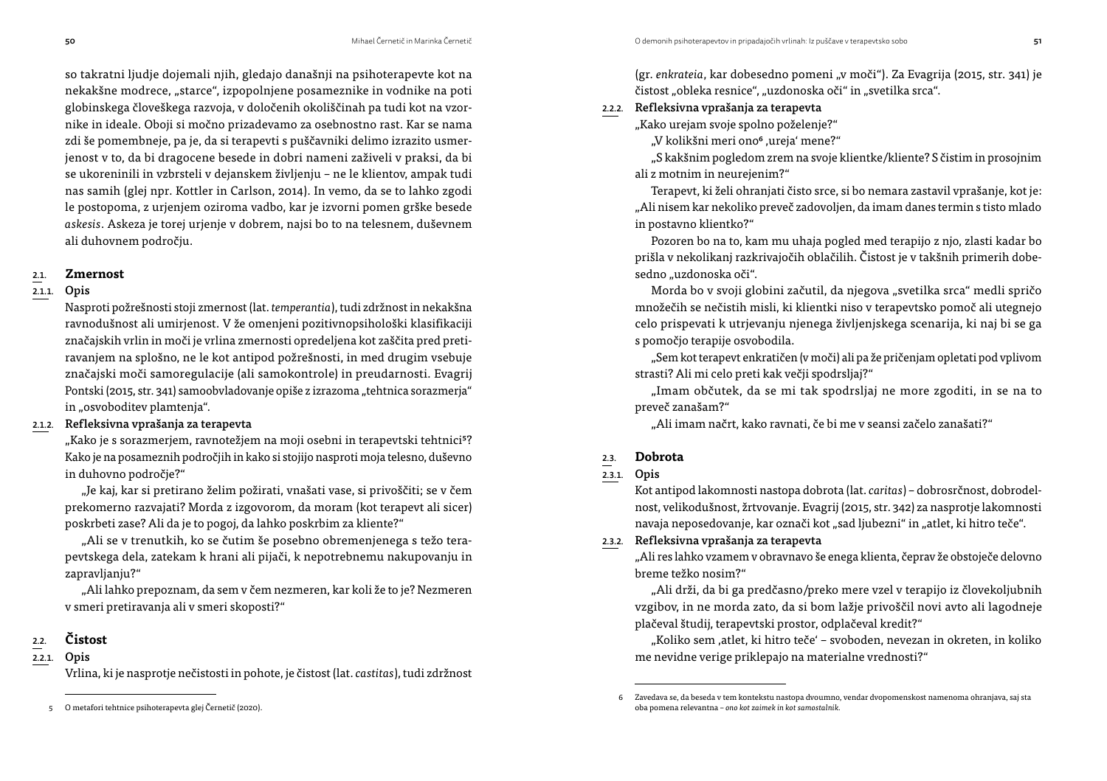so takratni ljudje dojemali njih, gledajo današnji na psihoterapevte kot na nekakšne modrece, "starce", izpopolnjene posameznike in vodnike na poti globinskega človeškega razvoja, v določenih okoliščinah pa tudi kot na vzornike in ideale. Oboji si močno prizadevamo za osebnostno rast. Kar se nama zdi še pomembneje, pa je, da si terapevti s puščavniki delimo izrazito usmerjenost v to, da bi dragocene besede in dobri nameni zaživeli v praksi, da bi se ukoreninili in vzbrsteli v dejanskem življenju – ne le klientov, ampak tudi nas samih (glej npr. Kottler in Carlson, 2014). In vemo, da se to lahko zgodi le postopoma, z urjenjem oziroma vadbo, kar je izvorni pomen grške besede *askesis*. Askeza je torej urjenje v dobrem, najsi bo to na telesnem, duševnem ali duhovnem področju.

#### 2.1. **Zmernost**

#### 2.1.1. Opis

Nasproti požrešnosti stoji zmernost (lat. *temperantia*), tudi zdržnost in nekakšna ravnodušnost ali umirjenost. V že omenjeni pozitivnopsihološki klasifikaciji značajskih vrlin in moči je vrlina zmernosti opredeljena kot zaščita pred pretiravanjem na splošno, ne le kot antipod požrešnosti, in med drugim vsebuje značajski moči samoregulacije (ali samokontrole) in preudarnosti. Evagrij Pontski (2015, str. 341) samoobvladovanje opiše z izrazoma "tehtnica sorazmerja" in "osvoboditev plamtenja".

#### 2.1.2. Refleksivna vprašanja za terapevta

"Kako je s sorazmerjem, ravnotežjem na moji osebni in terapevtski tehtnici<sup>5</sup>? Kako je na posameznih področjih in kako si stojijo nasproti moja telesno, duševno in duhovno področje?"

"Je kaj, kar si pretirano želim požirati, vnašati vase, si privoščiti; se v čem prekomerno razvajati? Morda z izgovorom, da moram (kot terapevt ali sicer) poskrbeti zase? Ali da je to pogoj, da lahko poskrbim za kliente?"

"Ali se v trenutkih, ko se čutim še posebno obremenjenega s težo terapevtskega dela, zatekam k hrani ali pijači, k nepotrebnemu nakupovanju in zapravljanju?"

"Ali lahko prepoznam, da sem v čem nezmeren, kar koli že to je? Nezmeren v smeri pretiravanja ali v smeri skoposti?"

## 2.2. **Čistost**

#### 2.2.1. Opis

Vrlina, ki je nasprotje nečistosti in pohote, je čistost (lat. *castitas*), tudi zdržnost

(gr. *enkrateia*, kar dobesedno pomeni "v moči"). Za Evagrija (2015, str. 341) je čistost "obleka resnice", "uzdonoska oči" in "svetilka srca".

### 2.2.2. Refleksivna vprašanja za terapevta

"Kako urejam svoje spolno poželenje?"

"V kolikšni meri ono<sup>6</sup> ,ureja' mene?"

"S kakšnim pogledom zrem na svoje klientke/kliente? S čistim in prosojnim ali z motnim in neurejenim?"

Terapevt, ki želi ohranjati čisto srce, si bo nemara zastavil vprašanje, kot je: "Ali nisem kar nekoliko preveč zadovoljen, da imam danes termin s tisto mlado in postavno klientko?"

Pozoren bo na to, kam mu uhaja pogled med terapijo z njo, zlasti kadar bo prišla v nekolikanj razkrivajočih oblačilih. Čistost je v takšnih primerih dobesedno "uzdonoska oči".

Morda bo v svoji globini začutil, da njegova "svetilka srca" medli spričo množečih se nečistih misli, ki klientki niso v terapevtsko pomoč ali utegnejo celo prispevati k utrjevanju njenega življenjskega scenarija, ki naj bi se ga s pomočjo terapije osvobodila.

"Sem kot terapevt enkratičen (v moči) ali pa že pričenjam opletati pod vplivom strasti? Ali mi celo preti kak večji spodrsljaj?"

"Imam občutek, da se mi tak spodrsljaj ne more zgoditi, in se na to preveč zanašam?"

"Ali imam načrt, kako ravnati, če bi me v seansi začelo zanašati?"

## 2.3. **Dobrota**

#### 2.3.1. Opis

Kot antipod lakomnosti nastopa dobrota (lat. *caritas*) – dobrosrčnost, dobrodelnost, velikodušnost, žrtvovanje. Evagrij (2015, str. 342) za nasprotje lakomnosti navaja neposedovanje, kar označi kot "sad ljubezni" in "atlet, ki hitro teče".

## 2.3.2. Refleksivna vprašanja za terapevta

"Ali res lahko vzamem v obravnavo še enega klienta, čeprav že obstoječe delovno breme težko nosim?"

"Ali drži, da bi ga predčasno/preko mere vzel v terapijo iz človekoljubnih vzgibov, in ne morda zato, da si bom lažje privoščil novi avto ali lagodneje plačeval študij, terapevtski prostor, odplačeval kredit?"

"Koliko sem ,atlet, ki hitro teče' – svoboden, nevezan in okreten, in koliko me nevidne verige priklepajo na materialne vrednosti?"

<sup>5</sup> O metafori tehtnice psihoterapevta glej Černetič (2020).

Zavedava se, da beseda v tem kontekstu nastopa dvoumno, vendar dvopomenskost namenoma ohranjava, saj sta oba pomena relevantna – *ono kot zaimek in kot samostalnik.*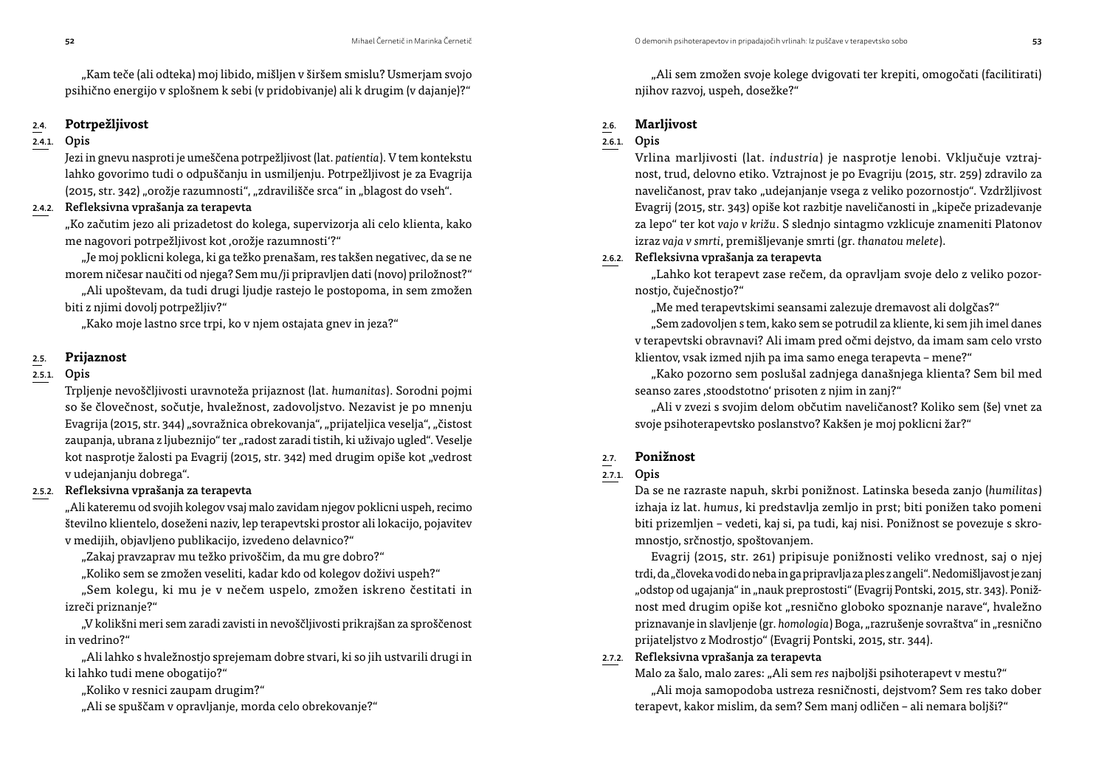"Kam teče (ali odteka) moj libido, mišljen v širšem smislu? Usmerjam svojo psihično energijo v splošnem k sebi (v pridobivanje) ali k drugim (v dajanje)?"

## 2.4. **Potrpežljivost**

## 2.4.1. Opis

Jezi in gnevu nasproti je umeščena potrpežljivost (lat. *patientia*). V tem kontekstu lahko govorimo tudi o odpuščanju in usmiljenju. Potrpežljivost je za Evagrija (2015, str. 342) "orožje razumnosti", "zdravilišče srca" in "blagost do vseh".

## 2.4.2. Refleksivna vprašanja za terapevta

"Ko začutim jezo ali prizadetost do kolega, supervizorja ali celo klienta, kako me nagovori potrpežljivost kot ,orožje razumnosti'?"

"Je moj poklicni kolega, ki ga težko prenašam, res takšen negativec, da se ne morem ničesar naučiti od njega? Sem mu/ji pripravljen dati (novo) priložnost?"

"Ali upoštevam, da tudi drugi ljudje rastejo le postopoma, in sem zmožen biti z njimi dovolj potrpežljiv?"

"Kako moje lastno srce trpi, ko v njem ostajata gnev in jeza?"

#### 2.5. **Prijaznost**

#### 2.5.1. Opis

Trpljenje nevoščljivosti uravnoteža prijaznost (lat. *humanitas*). Sorodni pojmi so še človečnost, sočutje, hvaležnost, zadovoljstvo. Nezavist je po mnenju Evagrija (2015, str. 344) "sovražnica obrekovanja", "prijateljica veselja", "čistost zaupanja, ubrana z ljubeznijo" ter "radost zaradi tistih, ki uživajo ugled". Veselje kot nasprotje žalosti pa Evagrij (2015, str. 342) med drugim opiše kot "vedrost v udejanjanju dobrega".

#### 2.5.2. Refleksivna vprašanja za terapevta

"Ali kateremu od svojih kolegov vsaj malo zavidam njegov poklicni uspeh, recimo številno klientelo, doseženi naziv, lep terapevtski prostor ali lokacijo, pojavitev v medijih, objavljeno publikacijo, izvedeno delavnico?"

"Zakaj pravzaprav mu težko privoščim, da mu gre dobro?"

"Koliko sem se zmožen veseliti, kadar kdo od kolegov doživi uspeh?"

"Sem kolegu, ki mu je v nečem uspelo, zmožen iskreno čestitati in izreči priznanje?"

"V kolikšni meri sem zaradi zavisti in nevoščljivosti prikrajšan za sproščenost in vedrino?"

"Ali lahko s hvaležnostjo sprejemam dobre stvari, ki so jih ustvarili drugi in ki lahko tudi mene obogatijo?"

"Koliko v resnici zaupam drugim?"

"Ali se spuščam v opravljanje, morda celo obrekovanje?"

"Ali sem zmožen svoje kolege dvigovati ter krepiti, omogočati (facilitirati) njihov razvoj, uspeh, dosežke?"

## 2.6. **Marljivost**

## 2.6.1. Opis

Vrlina marljivosti (lat. *industria*) je nasprotje lenobi. Vključuje vztrajnost, trud, delovno etiko. Vztrajnost je po Evagriju (2015, str. 259) zdravilo za naveličanost, prav tako "udejanjanje vsega z veliko pozornostjo". Vzdržljivost Evagrij (2015, str. 343) opiše kot razbitje naveličanosti in "kipeče prizadevanje za lepo" ter kot *vajo v križu*. S slednjo sintagmo vzklicuje znameniti Platonov izraz *vaja v smrti*, premišljevanje smrti (gr. *thanatou melete*).

## 2.6.2. Refleksivna vprašanja za terapevta

"Lahko kot terapevt zase rečem, da opravljam svoje delo z veliko pozornostjo, čuječnostjo?"

"Me med terapevtskimi seansami zalezuje dremavost ali dolgčas?"

"Sem zadovoljen s tem, kako sem se potrudil za kliente, ki sem jih imel danes v terapevtski obravnavi? Ali imam pred očmi dejstvo, da imam sam celo vrsto klientov, vsak izmed njih pa ima samo enega terapevta – mene?"

"Kako pozorno sem poslušal zadnjega današnjega klienta? Sem bil med seanso zares ,stoodstotno' prisoten z njim in zanj?"

"Ali v zvezi s svojim delom občutim naveličanost? Koliko sem (še) vnet za svoje psihoterapevtsko poslanstvo? Kakšen je moj poklicni žar?"

## 2.7. **Ponižnost**

## 2.7.1. Opis

Da se ne razraste napuh, skrbi ponižnost. Latinska beseda zanjo (*humilitas*) izhaja iz lat. *humus*, ki predstavlja zemljo in prst; biti ponižen tako pomeni biti prizemljen – vedeti, kaj si, pa tudi, kaj nisi. Ponižnost se povezuje s skromnostjo, srčnostjo, spoštovanjem.

Evagrij (2015, str. 261) pripisuje ponižnosti veliko vrednost, saj o njej trdi, da "človeka vodi do neba in ga pripravlja za ples z angeli". Nedomišljavost je zanj "odstop od ugajanja" in "nauk preprostosti" (Evagrij Pontski, 2015, str. 343). Ponižnost med drugim opiše kot "resnično globoko spoznanje narave", hvaležno priznavanje in slavljenje (gr. *homologia*) Boga, "razrušenje sovraštva" in "resnično prijateljstvo z Modrostjo" (Evagrij Pontski, 2015, str. 344).

## 2.7.2. Refleksivna vprašanja za terapevta

Malo za šalo, malo zares: "Ali sem *res* najboljši psihoterapevt v mestu?"

"Ali moja samopodoba ustreza resničnosti, dejstvom? Sem res tako dober terapevt, kakor mislim, da sem? Sem manj odličen – ali nemara boljši?"